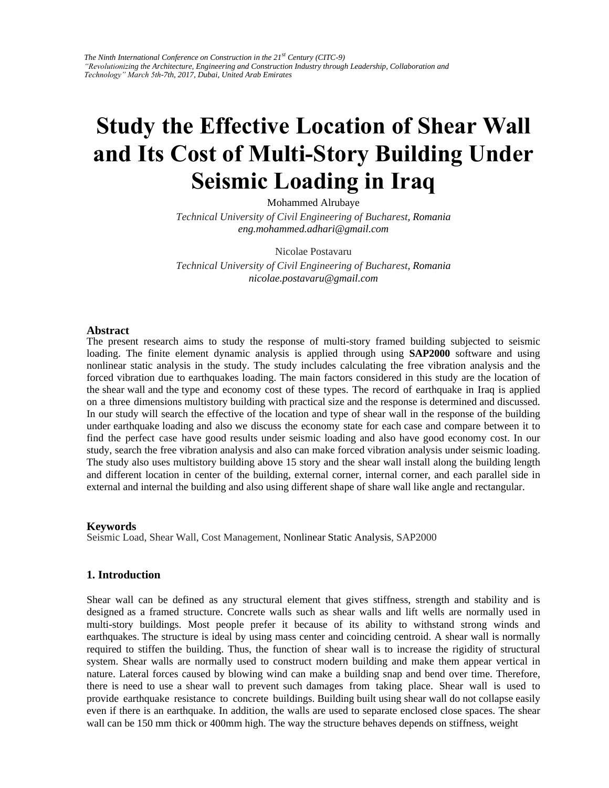# **Study the Effective Location of Shear Wall and Its Cost of Multi-Story Building Under Seismic Loading in Iraq**

Mohammed Alrubaye

*Technical University of Civil Engineering of Bucharest, Romania eng.mohammed.adhari@gmail.com* 

Nicolae Postavaru

*Technical University of Civil Engineering of Bucharest, Romania nicolae.postavaru@gmail.com* 

#### **Abstract**

The present research aims to study the response of multi-story framed building subjected to seismic loading. The finite element dynamic analysis is applied through using **SAP2000** software and using nonlinear static analysis in the study. The study includes calculating the free vibration analysis and the forced vibration due to earthquakes loading. The main factors considered in this study are the location of the shear wall and the type and economy cost of these types. The record of earthquake in Iraq is applied on a three dimensions multistory building with practical size and the response is determined and discussed. In our study will search the effective of the location and type of shear wall in the response of the building under earthquake loading and also we discuss the economy state for each case and compare between it to find the perfect case have good results under seismic loading and also have good economy cost. In our study, search the free vibration analysis and also can make forced vibration analysis under seismic loading. The study also uses multistory building above 15 story and the shear wall install along the building length and different location in center of the building, external corner, internal corner, and each parallel side in external and internal the building and also using different shape of share wall like angle and rectangular.

#### **Keywords**

Seismic Load, Shear Wall, Cost Management, Nonlinear Static Analysis, SAP2000

## **1. Introduction**

Shear wall can be defined as any structural element that gives stiffness, strength and stability and is designed as a framed structure. Concrete walls such as shear walls and lift wells are normally used in multi-story buildings. Most people prefer it because of its ability to withstand strong winds and earthquakes. The structure is ideal by using mass center and coinciding centroid. A shear wall is normally required to stiffen the building. Thus, the function of shear wall is to increase the rigidity of structural system. Shear walls are normally used to construct modern building and make them appear vertical in nature. Lateral forces caused by blowing wind can make a building snap and bend over time. Therefore, there is need to use a shear wall to prevent such damages from taking place. Shear wall is used to provide earthquake resistance to concrete buildings. Building built using shear wall do not collapse easily even if there is an earthquake. In addition, the walls are used to separate enclosed close spaces. The shear wall can be 150 mm thick or 400mm high. The way the structure behaves depends on stiffness, weight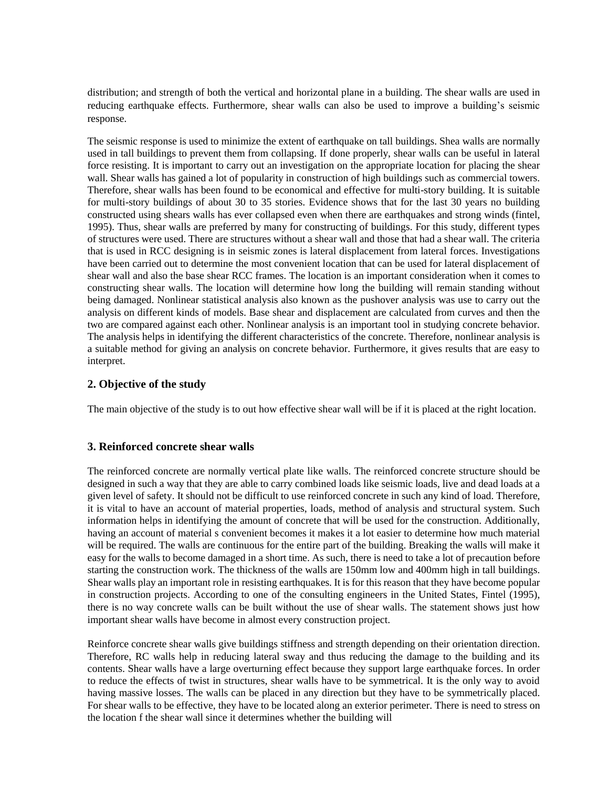distribution; and strength of both the vertical and horizontal plane in a building. The shear walls are used in reducing earthquake effects. Furthermore, shear walls can also be used to improve a building's seismic response.

The seismic response is used to minimize the extent of earthquake on tall buildings. Shea walls are normally used in tall buildings to prevent them from collapsing. If done properly, shear walls can be useful in lateral force resisting. It is important to carry out an investigation on the appropriate location for placing the shear wall. Shear walls has gained a lot of popularity in construction of high buildings such as commercial towers. Therefore, shear walls has been found to be economical and effective for multi-story building. It is suitable for multi-story buildings of about 30 to 35 stories. Evidence shows that for the last 30 years no building constructed using shears walls has ever collapsed even when there are earthquakes and strong winds (fintel, 1995). Thus, shear walls are preferred by many for constructing of buildings. For this study, different types of structures were used. There are structures without a shear wall and those that had a shear wall. The criteria that is used in RCC designing is in seismic zones is lateral displacement from lateral forces. Investigations have been carried out to determine the most convenient location that can be used for lateral displacement of shear wall and also the base shear RCC frames. The location is an important consideration when it comes to constructing shear walls. The location will determine how long the building will remain standing without being damaged. Nonlinear statistical analysis also known as the pushover analysis was use to carry out the analysis on different kinds of models. Base shear and displacement are calculated from curves and then the two are compared against each other. Nonlinear analysis is an important tool in studying concrete behavior. The analysis helps in identifying the different characteristics of the concrete. Therefore, nonlinear analysis is a suitable method for giving an analysis on concrete behavior. Furthermore, it gives results that are easy to interpret.

# **2. Objective of the study**

The main objective of the study is to out how effective shear wall will be if it is placed at the right location.

#### **3. Reinforced concrete shear walls**

The reinforced concrete are normally vertical plate like walls. The reinforced concrete structure should be designed in such a way that they are able to carry combined loads like seismic loads, live and dead loads at a given level of safety. It should not be difficult to use reinforced concrete in such any kind of load. Therefore, it is vital to have an account of material properties, loads, method of analysis and structural system. Such information helps in identifying the amount of concrete that will be used for the construction. Additionally, having an account of material s convenient becomes it makes it a lot easier to determine how much material will be required. The walls are continuous for the entire part of the building. Breaking the walls will make it easy for the walls to become damaged in a short time. As such, there is need to take a lot of precaution before starting the construction work. The thickness of the walls are 150mm low and 400mm high in tall buildings. Shear walls play an important role in resisting earthquakes. It is for this reason that they have become popular in construction projects. According to one of the consulting engineers in the United States, Fintel (1995), there is no way concrete walls can be built without the use of shear walls. The statement shows just how important shear walls have become in almost every construction project.

Reinforce concrete shear walls give buildings stiffness and strength depending on their orientation direction. Therefore, RC walls help in reducing lateral sway and thus reducing the damage to the building and its contents. Shear walls have a large overturning effect because they support large earthquake forces. In order to reduce the effects of twist in structures, shear walls have to be symmetrical. It is the only way to avoid having massive losses. The walls can be placed in any direction but they have to be symmetrically placed. For shear walls to be effective, they have to be located along an exterior perimeter. There is need to stress on the location f the shear wall since it determines whether the building will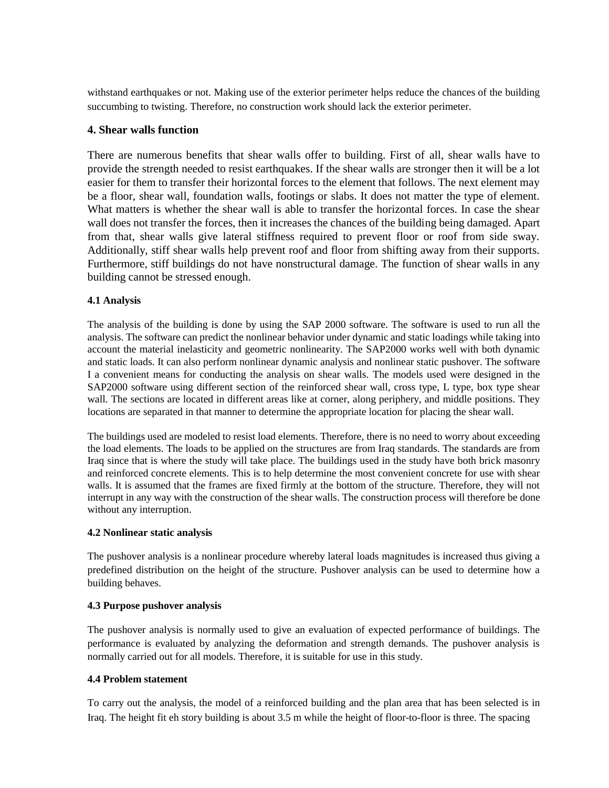withstand earthquakes or not. Making use of the exterior perimeter helps reduce the chances of the building succumbing to twisting. Therefore, no construction work should lack the exterior perimeter.

# **4. Shear walls function**

There are numerous benefits that shear walls offer to building. First of all, shear walls have to provide the strength needed to resist earthquakes. If the shear walls are stronger then it will be a lot easier for them to transfer their horizontal forces to the element that follows. The next element may be a floor, shear wall, foundation walls, footings or slabs. It does not matter the type of element. What matters is whether the shear wall is able to transfer the horizontal forces. In case the shear wall does not transfer the forces, then it increases the chances of the building being damaged. Apart from that, shear walls give lateral stiffness required to prevent floor or roof from side sway. Additionally, stiff shear walls help prevent roof and floor from shifting away from their supports. Furthermore, stiff buildings do not have nonstructural damage. The function of shear walls in any building cannot be stressed enough.

# **4.1 Analysis**

The analysis of the building is done by using the SAP 2000 software. The software is used to run all the analysis. The software can predict the nonlinear behavior under dynamic and static loadings while taking into account the material inelasticity and geometric nonlinearity. The SAP2000 works well with both dynamic and static loads. It can also perform nonlinear dynamic analysis and nonlinear static pushover. The software I a convenient means for conducting the analysis on shear walls. The models used were designed in the SAP2000 software using different section of the reinforced shear wall, cross type, L type, box type shear wall. The sections are located in different areas like at corner, along periphery, and middle positions. They locations are separated in that manner to determine the appropriate location for placing the shear wall.

The buildings used are modeled to resist load elements. Therefore, there is no need to worry about exceeding the load elements. The loads to be applied on the structures are from Iraq standards. The standards are from Iraq since that is where the study will take place. The buildings used in the study have both brick masonry and reinforced concrete elements. This is to help determine the most convenient concrete for use with shear walls. It is assumed that the frames are fixed firmly at the bottom of the structure. Therefore, they will not interrupt in any way with the construction of the shear walls. The construction process will therefore be done without any interruption.

# **4.2 Nonlinear static analysis**

The pushover analysis is a nonlinear procedure whereby lateral loads magnitudes is increased thus giving a predefined distribution on the height of the structure. Pushover analysis can be used to determine how a building behaves.

# **4.3 Purpose pushover analysis**

The pushover analysis is normally used to give an evaluation of expected performance of buildings. The performance is evaluated by analyzing the deformation and strength demands. The pushover analysis is normally carried out for all models. Therefore, it is suitable for use in this study.

# **4.4 Problem statement**

To carry out the analysis, the model of a reinforced building and the plan area that has been selected is in Iraq. The height fit eh story building is about 3.5 m while the height of floor-to-floor is three. The spacing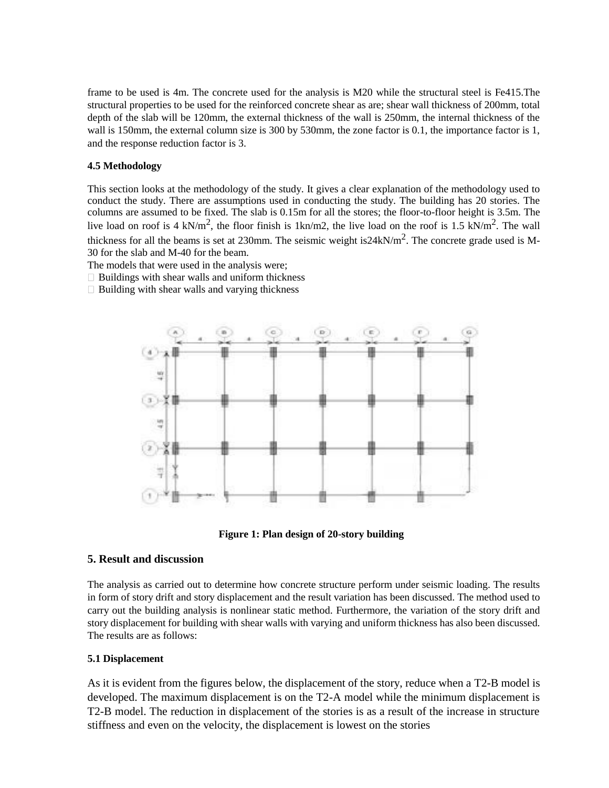frame to be used is 4m. The concrete used for the analysis is M20 while the structural steel is Fe415.The structural properties to be used for the reinforced concrete shear as are; shear wall thickness of 200mm, total depth of the slab will be 120mm, the external thickness of the wall is 250mm, the internal thickness of the wall is 150mm, the external column size is 300 by 530mm, the zone factor is 0.1, the importance factor is 1, and the response reduction factor is 3.

## **4.5 Methodology**

This section looks at the methodology of the study. It gives a clear explanation of the methodology used to conduct the study. There are assumptions used in conducting the study. The building has 20 stories. The columns are assumed to be fixed. The slab is 0.15m for all the stores; the floor-to-floor height is 3.5m. The live load on roof is 4 kN/m<sup>2</sup>, the floor finish is 1kn/m2, the live load on the roof is 1.5 kN/m<sup>2</sup>. The wall thickness for all the beams is set at 230mm. The seismic weight is  $24kN/m^2$ . The concrete grade used is M-30 for the slab and M-40 for the beam.

The models that were used in the analysis were;

- $\Box$  Buildings with shear walls and uniform thickness
- $\Box$  Building with shear walls and varying thickness





# **5. Result and discussion**

The analysis as carried out to determine how concrete structure perform under seismic loading. The results in form of story drift and story displacement and the result variation has been discussed. The method used to carry out the building analysis is nonlinear static method. Furthermore, the variation of the story drift and story displacement for building with shear walls with varying and uniform thickness has also been discussed. The results are as follows:

#### **5.1 Displacement**

As it is evident from the figures below, the displacement of the story, reduce when a T2-B model is developed. The maximum displacement is on the T2-A model while the minimum displacement is T2-B model. The reduction in displacement of the stories is as a result of the increase in structure stiffness and even on the velocity, the displacement is lowest on the stories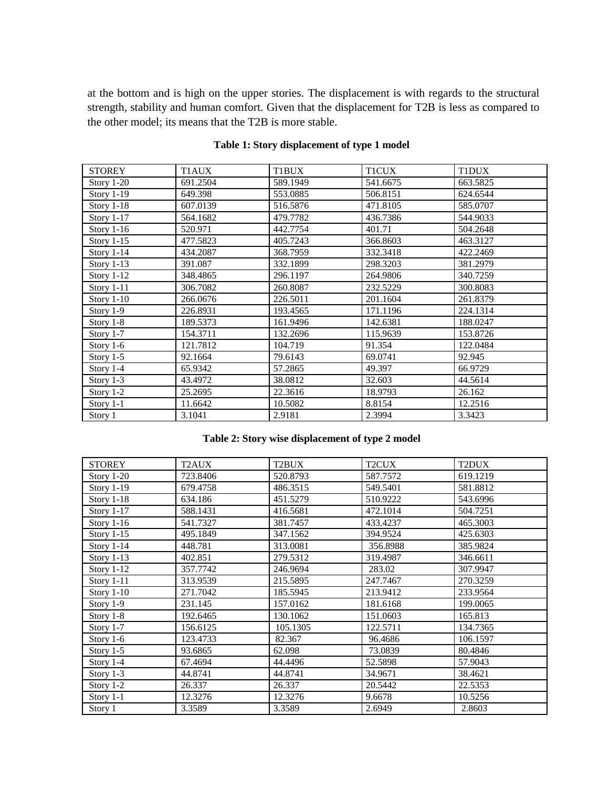at the bottom and is high on the upper stories. The displacement is with regards to the structural strength, stability and human comfort. Given that the displacement for T2B is less as compared to the other model; its means that the T2B is more stable.

| <b>STOREY</b>     | T1AUX    | T1BUX    | <b>T1CUX</b> | T1DUX    |
|-------------------|----------|----------|--------------|----------|
| Story $1-20$      | 691.2504 | 589.1949 | 541.6675     | 663.5825 |
| <b>Story 1-19</b> | 649.398  | 553.0885 | 506.8151     | 624.6544 |
| Story 1-18        | 607.0139 | 516.5876 | 471.8105     | 585.0707 |
| Story $1-17$      | 564.1682 | 479.7782 | 436.7386     | 544.9033 |
| Story $1-16$      | 520.971  | 442.7754 | 401.71       | 504.2648 |
| <b>Story 1-15</b> | 477.5823 | 405.7243 | 366.8603     | 463.3127 |
| Story 1-14        | 434.2087 | 368.7959 | 332.3418     | 422.2469 |
| Story $1-13$      | 391.087  | 332.1899 | 298.3203     | 381.2979 |
| Story 1-12        | 348.4865 | 296.1197 | 264.9806     | 340.7259 |
| Story 1-11        | 306.7082 | 260.8087 | 232.5229     | 300.8083 |
| Story $1-10$      | 266.0676 | 226.5011 | 201.1604     | 261.8379 |
| Story 1-9         | 226.8931 | 193.4565 | 171.1196     | 224.1314 |
| Story $1-8$       | 189.5373 | 161.9496 | 142.6381     | 188.0247 |
| Story 1-7         | 154.3711 | 132.2696 | 115.9639     | 153.8726 |
| Story 1-6         | 121.7812 | 104.719  | 91.354       | 122.0484 |
| Story $1-5$       | 92.1664  | 79.6143  | 69.0741      | 92.945   |
| Story 1-4         | 65.9342  | 57.2865  | 49.397       | 66.9729  |
| Story 1-3         | 43.4972  | 38.0812  | 32.603       | 44.5614  |
| Story $1-2$       | 25.2695  | 22.3616  | 18.9793      | 26.162   |
| Story $1-1$       | 11.6642  | 10.5082  | 8.8154       | 12.2516  |
| Story 1           | 3.1041   | 2.9181   | 2.3994       | 3.3423   |

# **Table 1: Story displacement of type 1 model**

## **Table 2: Story wise displacement of type 2 model**

| <b>STOREY</b>     | T <sub>2</sub> AUX | T2BUX    | T <sub>2</sub> CUX | T2DUX    |
|-------------------|--------------------|----------|--------------------|----------|
| Story $1-20$      | 723.8406           | 520.8793 | 587.7572           | 619.1219 |
| <b>Story 1-19</b> | 679.4758           | 486.3515 | 549.5401           | 581.8812 |
| Story 1-18        | 634.186            | 451.5279 | 510.9222           | 543.6996 |
| Story $1-17$      | 588.1431           | 416.5681 | 472.1014           | 504.7251 |
| Story $1-16$      | 541.7327           | 381.7457 | 433.4237           | 465.3003 |
| Story $1-15$      | 495.1849           | 347.1562 | 394.9524           | 425.6303 |
| Story $1-14$      | 448.781            | 313.0081 | 356.8988           | 385.9824 |
| Story $1-13$      | 402.851            | 279.5312 | 319.4987           | 346.6611 |
| Story $1-12$      | 357.7742           | 246.9694 | 283.02             | 307.9947 |
| Story $1-11$      | 313.9539           | 215.5895 | 247.7467           | 270.3259 |
| Story $1-10$      | 271.7042           | 185.5945 | 213.9412           | 233.9564 |
| Story 1-9         | 231.145            | 157.0162 | 181.6168           | 199.0065 |
| Story 1-8         | 192.6465           | 130.1062 | 151.0603           | 165.813  |
| Story 1-7         | 156.6125           | 105.1305 | 122.5711           | 134.7365 |
| Story $1-6$       | 123.4733           | 82.367   | 96.4686            | 106.1597 |
| Story $1-5$       | 93.6865            | 62.098   | 73.0839            | 80.4846  |
| Story 1-4         | 67.4694            | 44.4496  | 52.5898            | 57.9043  |
| Story $1-3$       | 44.8741            | 44.8741  | 34.9671            | 38.4621  |
| Story $1-2$       | 26.337             | 26.337   | 20.5442            | 22.5353  |
| Story 1-1         | 12.3276            | 12.3276  | 9.6678             | 10.5256  |
| Story 1           | 3.3589             | 3.3589   | 2.6949             | 2.8603   |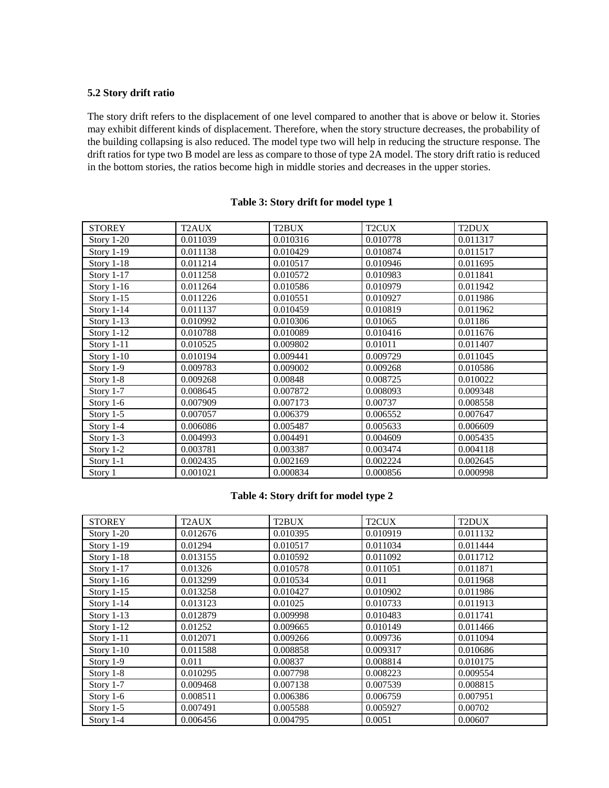## **5.2 Story drift ratio**

The story drift refers to the displacement of one level compared to another that is above or below it. Stories may exhibit different kinds of displacement. Therefore, when the story structure decreases, the probability of the building collapsing is also reduced. The model type two will help in reducing the structure response. The drift ratios for type two B model are less as compare to those of type 2A model. The story drift ratio is reduced in the bottom stories, the ratios become high in middle stories and decreases in the upper stories.

| <b>STOREY</b>     | T2AUX    | T2BUX    | T <sub>2</sub> CUX | T2DUX    |
|-------------------|----------|----------|--------------------|----------|
| Story 1-20        | 0.011039 | 0.010316 | 0.010778           | 0.011317 |
| <b>Story 1-19</b> | 0.011138 | 0.010429 | 0.010874           | 0.011517 |
| Story $1-18$      | 0.011214 | 0.010517 | 0.010946           | 0.011695 |
| <b>Story 1-17</b> | 0.011258 | 0.010572 | 0.010983           | 0.011841 |
| Story $1-16$      | 0.011264 | 0.010586 | 0.010979           | 0.011942 |
| <b>Story 1-15</b> | 0.011226 | 0.010551 | 0.010927           | 0.011986 |
| Story $1-14$      | 0.011137 | 0.010459 | 0.010819           | 0.011962 |
| Story $1-13$      | 0.010992 | 0.010306 | 0.01065            | 0.01186  |
| Story 1-12        | 0.010788 | 0.010089 | 0.010416           | 0.011676 |
| Story $1-11$      | 0.010525 | 0.009802 | 0.01011            | 0.011407 |
| Story $1-10$      | 0.010194 | 0.009441 | 0.009729           | 0.011045 |
| Story 1-9         | 0.009783 | 0.009002 | 0.009268           | 0.010586 |
| Story 1-8         | 0.009268 | 0.00848  | 0.008725           | 0.010022 |
| Story 1-7         | 0.008645 | 0.007872 | 0.008093           | 0.009348 |
| Story 1-6         | 0.007909 | 0.007173 | 0.00737            | 0.008558 |
| Story $1-5$       | 0.007057 | 0.006379 | 0.006552           | 0.007647 |
| Story 1-4         | 0.006086 | 0.005487 | 0.005633           | 0.006609 |
| Story 1-3         | 0.004993 | 0.004491 | 0.004609           | 0.005435 |
| Story $1-2$       | 0.003781 | 0.003387 | 0.003474           | 0.004118 |
| Story 1-1         | 0.002435 | 0.002169 | 0.002224           | 0.002645 |
| Story 1           | 0.001021 | 0.000834 | 0.000856           | 0.000998 |

#### **Table 3: Story drift for model type 1**

## **Table 4: Story drift for model type 2**

| <b>STOREY</b> | T <sub>2</sub> AUX | T <sub>2</sub> BUX | T <sub>2</sub> CUX | T <sub>2</sub> DUX |
|---------------|--------------------|--------------------|--------------------|--------------------|
| Story $1-20$  | 0.012676           | 0.010395           | 0.010919           | 0.011132           |
| Story $1-19$  | 0.01294            | 0.010517           | 0.011034           | 0.011444           |
| Story $1-18$  | 0.013155           | 0.010592           | 0.011092           | 0.011712           |
| Story $1-17$  | 0.01326            | 0.010578           | 0.011051           | 0.011871           |
| Story $1-16$  | 0.013299           | 0.010534           | 0.011              | 0.011968           |
| Story $1-15$  | 0.013258           | 0.010427           | 0.010902           | 0.011986           |
| Story $1-14$  | 0.013123           | 0.01025            | 0.010733           | 0.011913           |
| Story $1-13$  | 0.012879           | 0.009998           | 0.010483           | 0.011741           |
| Story $1-12$  | 0.01252            | 0.009665           | 0.010149           | 0.011466           |
| Story $1-11$  | 0.012071           | 0.009266           | 0.009736           | 0.011094           |
| Story $1-10$  | 0.011588           | 0.008858           | 0.009317           | 0.010686           |
| Story 1-9     | 0.011              | 0.00837            | 0.008814           | 0.010175           |
| Story $1-8$   | 0.010295           | 0.007798           | 0.008223           | 0.009554           |
| Story $1-7$   | 0.009468           | 0.007138           | 0.007539           | 0.008815           |
| Story $1-6$   | 0.008511           | 0.006386           | 0.006759           | 0.007951           |
| Story $1-5$   | 0.007491           | 0.005588           | 0.005927           | 0.00702            |
| Story 1-4     | 0.006456           | 0.004795           | 0.0051             | 0.00607            |